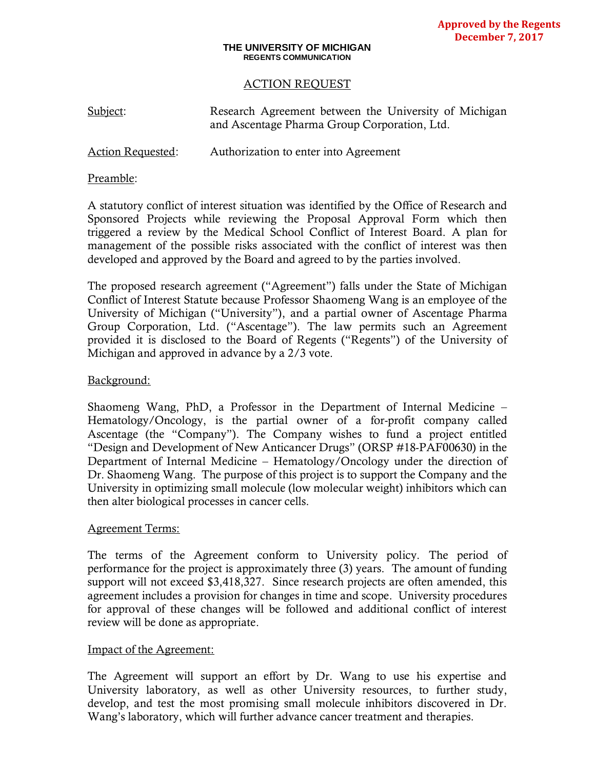#### **THE UNIVERSITY OF MICHIGAN REGENTS COMMUNICATION**

## ACTION REQUEST

| Subject:                 | Research Agreement between the University of Michigan<br>and Ascentage Pharma Group Corporation, Ltd. |
|--------------------------|-------------------------------------------------------------------------------------------------------|
| <b>Action Requested:</b> | Authorization to enter into Agreement                                                                 |

## Preamble:

A statutory conflict of interest situation was identified by the Office of Research and Sponsored Projects while reviewing the Proposal Approval Form which then triggered a review by the Medical School Conflict of Interest Board. A plan for management of the possible risks associated with the conflict of interest was then developed and approved by the Board and agreed to by the parties involved.

The proposed research agreement ("Agreement") falls under the State of Michigan Conflict of Interest Statute because Professor Shaomeng Wang is an employee of the University of Michigan ("University"), and a partial owner of Ascentage Pharma Group Corporation, Ltd. ("Ascentage"). The law permits such an Agreement provided it is disclosed to the Board of Regents ("Regents") of the University of Michigan and approved in advance by a 2/3 vote.

# Background:

Shaomeng Wang, PhD, a Professor in the Department of Internal Medicine – Hematology/Oncology, is the partial owner of a for-profit company called Ascentage (the "Company"). The Company wishes to fund a project entitled "Design and Development of New Anticancer Drugs" (ORSP #18-PAF00630) in the Department of Internal Medicine – Hematology/Oncology under the direction of Dr. Shaomeng Wang. The purpose of this project is to support the Company and the University in optimizing small molecule (low molecular weight) inhibitors which can then alter biological processes in cancer cells.

## Agreement Terms:

The terms of the Agreement conform to University policy. The period of performance for the project is approximately three (3) years. The amount of funding support will not exceed \$3,418,327. Since research projects are often amended, this agreement includes a provision for changes in time and scope. University procedures for approval of these changes will be followed and additional conflict of interest review will be done as appropriate.

## Impact of the Agreement:

The Agreement will support an effort by Dr. Wang to use his expertise and University laboratory, as well as other University resources, to further study, develop, and test the most promising small molecule inhibitors discovered in Dr. Wang's laboratory, which will further advance cancer treatment and therapies.